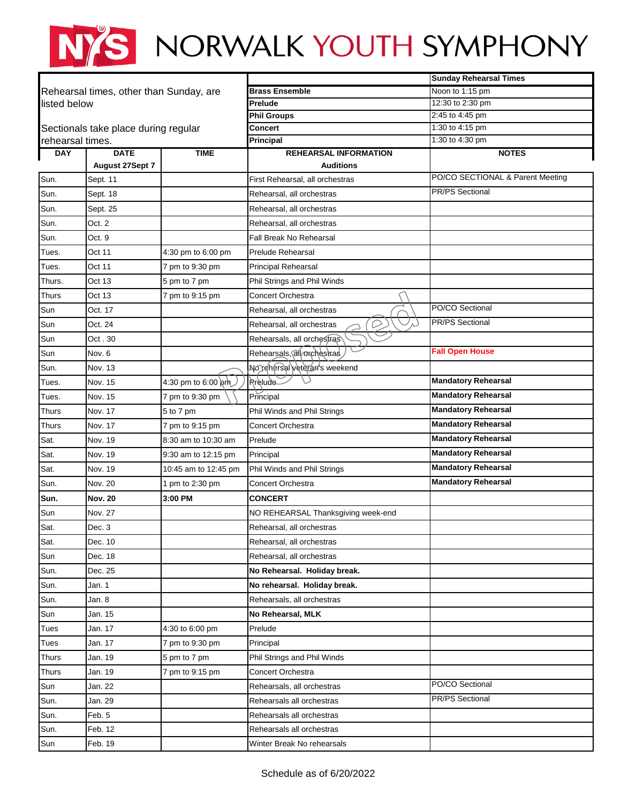## NYS NORWALK YOUTH SYMPHONY

|                                      |                                         |                         |                                                  | <b>Sunday Rehearsal Times</b>    |
|--------------------------------------|-----------------------------------------|-------------------------|--------------------------------------------------|----------------------------------|
|                                      | Rehearsal times, other than Sunday, are |                         | <b>Brass Ensemble</b>                            | Noon to 1:15 pm                  |
| listed below                         |                                         |                         | Prelude                                          | 12:30 to 2:30 pm                 |
|                                      |                                         |                         | <b>Phil Groups</b>                               | 2:45 to 4:45 pm                  |
| Sectionals take place during regular |                                         |                         | Concert                                          | 1:30 to 4:15 pm                  |
| rehearsal times.<br><b>DAY</b>       | <b>DATE</b>                             | <b>TIME</b>             | Principal                                        | 1:30 to 4:30 pm                  |
|                                      | August 27Sept 7                         |                         | <b>REHEARSAL INFORMATION</b><br><b>Auditions</b> | <b>NOTES</b>                     |
| Sun.                                 | Sept. 11                                |                         | First Rehearsal, all orchestras                  | PO/CO SECTIONAL & Parent Meeting |
| Sun.                                 | Sept. 18                                |                         | Rehearsal, all orchestras                        | <b>PR/PS Sectional</b>           |
| Sun.                                 | Sept. 25                                |                         | Rehearsal, all orchestras                        |                                  |
| Sun.                                 | Oct. 2                                  |                         | Rehearsal, all orchestras                        |                                  |
| Sun.                                 | Oct. 9                                  |                         | Fall Break No Rehearsal                          |                                  |
| Tues.                                | Oct 11                                  | 4:30 pm to 6:00 pm      | Prelude Rehearsal                                |                                  |
| Tues.                                | Oct 11                                  | 7 pm to 9:30 pm         | <b>Principal Rehearsal</b>                       |                                  |
| Thurs.                               | Oct 13                                  | 5 pm to 7 pm            | Phil Strings and Phil Winds                      |                                  |
| <b>Thurs</b>                         | Oct 13                                  | 7 pm to 9:15 pm         | Concert Orchestra                                |                                  |
| Sun                                  | Oct. 17                                 |                         | Rehearsal, all orchestras                        | PO/CO Sectional                  |
| Sun                                  | Oct. 24                                 |                         | Rehearsal, all orchestras                        | <b>PR/PS Sectional</b>           |
| Sun                                  | Oct . 30                                |                         | Rehearsals, all orchestras                       |                                  |
| Sun                                  | Nov. 6                                  |                         | Rehearsals, all orchestras                       | <b>Fall Open House</b>           |
| Sun.                                 | Nov. 13                                 |                         | No rehersal veteran's weekend                    |                                  |
| Tues.                                | Nov. 15                                 | 4:30 pm to 6:00 $\mu$ m | <b><i><u>Rrelude</u></i></b>                     | <b>Mandatory Rehearsal</b>       |
| Tues.                                | Nov. 15                                 | 7 pm to 9:30 pm         | Principal                                        | <b>Mandatory Rehearsal</b>       |
| Thurs                                | Nov. 17                                 | 5 to 7 pm               | Phil Winds and Phil Strings                      | <b>Mandatory Rehearsal</b>       |
| Thurs                                | Nov. 17                                 | 7 pm to 9:15 pm         | Concert Orchestra                                | <b>Mandatory Rehearsal</b>       |
| Sat.                                 | Nov. 19                                 | 8:30 am to 10:30 am     | Prelude                                          | <b>Mandatory Rehearsal</b>       |
| Sat.                                 | Nov. 19                                 | 9:30 am to 12:15 pm     | Principal                                        | <b>Mandatory Rehearsal</b>       |
| Sat.                                 | Nov. 19                                 | 10:45 am to 12:45 pm    | Phil Winds and Phil Strings                      | <b>Mandatory Rehearsal</b>       |
| Sun.                                 | Nov. 20                                 | 1 pm to 2:30 pm         | <b>Concert Orchestra</b>                         | <b>Mandatory Rehearsal</b>       |
| Sun.                                 | <b>Nov. 20</b>                          | 3:00 PM                 | <b>CONCERT</b>                                   |                                  |
| Sun                                  | Nov. 27                                 |                         | NO REHEARSAL Thanksgiving week-end               |                                  |
| Sat.                                 | Dec. 3                                  |                         | Rehearsal, all orchestras                        |                                  |
| Sat.                                 | Dec. 10                                 |                         | Rehearsal, all orchestras                        |                                  |
| Sun                                  | Dec. 18                                 |                         | Rehearsal, all orchestras                        |                                  |
| Sun.                                 | Dec. 25                                 |                         | No Rehearsal. Holiday break.                     |                                  |
| Sun.                                 | Jan. 1                                  |                         | No rehearsal. Holiday break.                     |                                  |
| Sun.                                 | Jan. 8                                  |                         | Rehearsals, all orchestras                       |                                  |
| Sun                                  | Jan. 15                                 |                         | No Rehearsal, MLK                                |                                  |
| Tues                                 | Jan. 17                                 | 4:30 to 6:00 pm         | Prelude                                          |                                  |
| Tues                                 | Jan. 17                                 | 7 pm to 9:30 pm         | Principal                                        |                                  |
| <b>Thurs</b>                         | Jan. 19                                 | 5 pm to 7 pm            | Phil Strings and Phil Winds                      |                                  |
| Thurs                                | Jan. 19                                 | 7 pm to 9:15 pm         | Concert Orchestra                                |                                  |
| Sun                                  | Jan. 22                                 |                         | Rehearsals, all orchestras                       | PO/CO Sectional                  |
| Sun.                                 | Jan. 29                                 |                         | Rehearsals all orchestras                        | PR/PS Sectional                  |
| Sun.                                 | Feb. 5                                  |                         | Rehearsals all orchestras                        |                                  |
| Sun.                                 | Feb. 12                                 |                         | Rehearsals all orchestras                        |                                  |
| Sun                                  | Feb. 19                                 |                         | Winter Break No rehearsals                       |                                  |